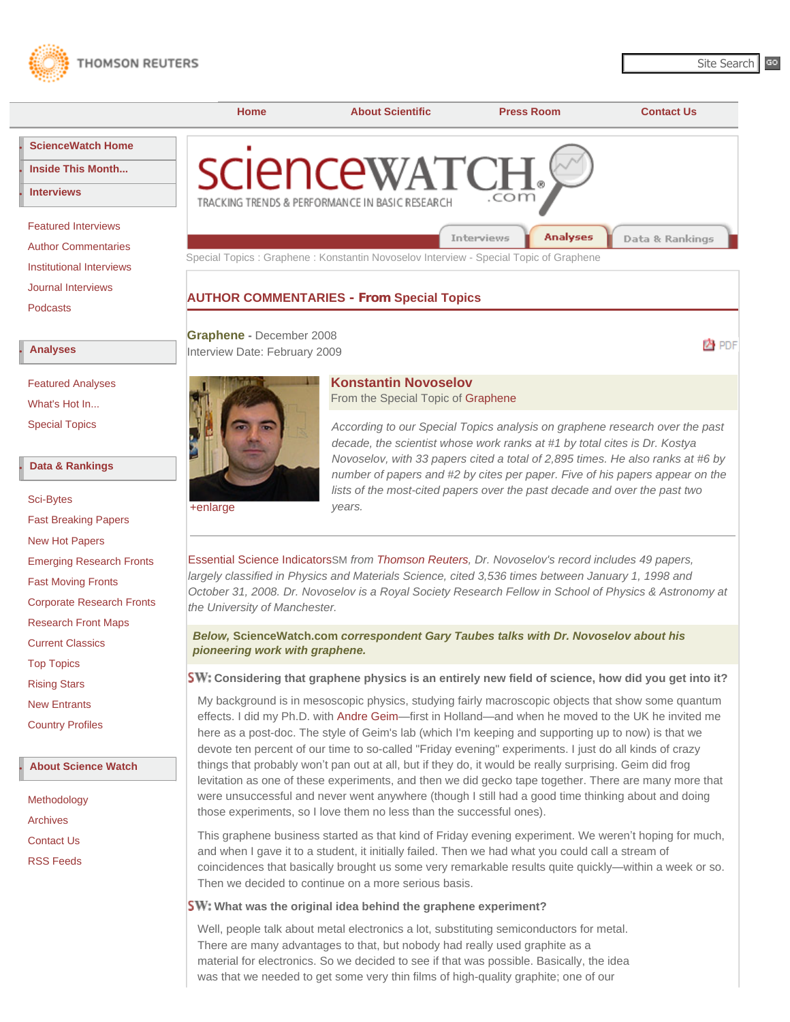<span id="page-0-0"></span>



**Konstantin Novoselov**

[Featured Analyses](http://sciencewatch.com/sciencewatch/ana/fea/) [What's Hot In...](http://sciencewatch.com/sciencewatch/ana/hot/) [Special Topics](http://sciencewatch.com/sciencewatch/ana/st/)

### **● [Data & Rankings](http://sciencewatch.com/sciencewatch/dr/)**

| <b>Sci-Bytes</b>                 |
|----------------------------------|
| <b>Fast Breaking Papers</b>      |
| New Hot Papers                   |
| <b>Emerging Research Fronts</b>  |
| <b>Fast Moving Fronts</b>        |
| <b>Corporate Research Fronts</b> |
| <b>Research Front Maps</b>       |
| <b>Current Classics</b>          |
| <b>Top Topics</b>                |
| <b>Rising Stars</b>              |
| <b>New Entrants</b>              |
| <b>Country Profiles</b>          |
|                                  |

# **● [About Science Watch](http://sciencewatch.com/sciencewatch/about/)**

[Methodology](http://sciencewatch.com/sciencewatch/about/met/) [Archives](http://sciencewatch.com/sciencewatch/about/arc/) [Contact Us](http://sciencewatch.com/sciencewatch/about/contact/) [RSS Feeds](http://sciencewatch.com/sciencewatch/rss/)

[+enlarge](http://sciencewatch.com/sciencewatch/ana/st/graphene/09febSTGraNovoL.jpeg) From the Special Topic of [Graphene](http://sciencewatch.com/sciencewatch/ana/st/graphene/) *According to our Special Topics analysis on graphene research over the past decade, the scientist whose work ranks at #1 by total cites is Dr. Kostya Novoselov, with 33 papers cited a total of 2,895 times. He also ranks at #6 by number of papers and #2 by cites per paper. Five of his papers appear on the*  lists of the most-cited papers over the past decade and over the past two *years.*

[Essential Science Indicators](http://www.thomsonreuters.com/products_services/scientific/Essential_Science_Indicators/)SM *from [Thomson Reuters](http://scientific.thomsonreuters.com/), Dr. Novoselov's record includes 49 papers,*  largely classified in Physics and Materials Science, cited 3,536 times between January 1, 1998 and *October 31, 2008. Dr. Novoselov is a Royal Society Research Fellow in School of Physics & Astronomy at the University of Manchester.*

## *Below,* **ScienceWatch.com** *correspondent Gary Taubes talks with Dr. Novoselov about his pioneering work with graphene.*

## **Considering that graphene physics is an entirely new field of science, how did you get into it?**

My background is in mesoscopic physics, studying fairly macroscopic objects that show some quantum effects. I did my Ph.D. with [Andre Geim](#page-3-0)—first in Holland—and when he moved to the UK he invited me here as a post-doc. The style of Geim's lab (which I'm keeping and supporting up to now) is that we devote ten percent of our time to so-called "Friday evening" experiments. I just do all kinds of crazy things that probably won't pan out at all, but if they do, it would be really surprising. Geim did frog levitation as one of these experiments, and then we did gecko tape together. There are many more that were unsuccessful and never went anywhere (though I still had a good time thinking about and doing those experiments, so I love them no less than the successful ones).

This graphene business started as that kind of Friday evening experiment. We weren't hoping for much, and when I gave it to a student, it initially failed. Then we had what you could call a stream of coincidences that basically brought us some very remarkable results quite quickly—within a week or so. Then we decided to continue on a more serious basis.

# **SW:** What was the original idea behind the graphene experiment?

Well, people talk about metal electronics a lot, substituting semiconductors for metal. There are many advantages to that, but nobody had really used graphite as a material for electronics. So we decided to see if that was possible. Basically, the idea was that we needed to get some very thin films of high-quality graphite; one of our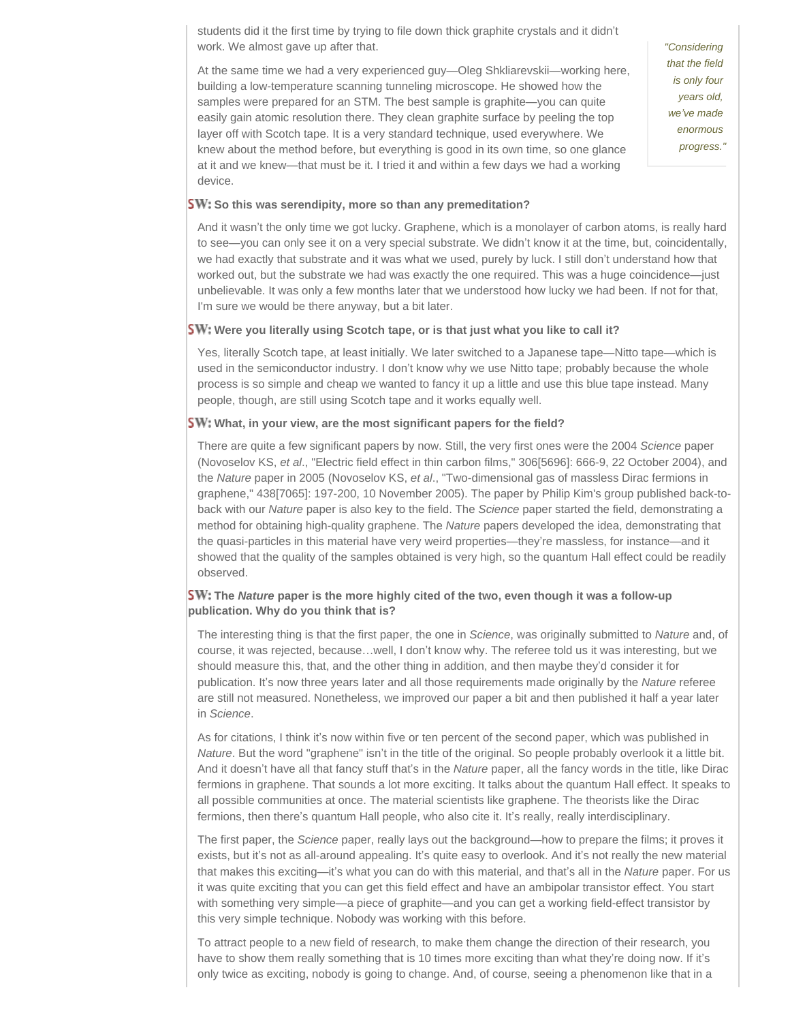students did it the first time by trying to file down thick graphite crystals and it didn't work. We almost gave up after that.

At the same time we had a very experienced guy—Oleg Shkliarevskii—working here, building a low-temperature scanning tunneling microscope. He showed how the samples were prepared for an STM. The best sample is graphite—you can quite easily gain atomic resolution there. They clean graphite surface by peeling the top layer off with Scotch tape. It is a very standard technique, used everywhere. We knew about the method before, but everything is good in its own time, so one glance at it and we knew—that must be it. I tried it and within a few days we had a working device.

*"Considering that the field is only four years old, we've made enormous progress."*

#### **SW:** So this was serendipity, more so than any premeditation?

And it wasn't the only time we got lucky. Graphene, which is a monolayer of carbon atoms, is really hard to see—you can only see it on a very special substrate. We didn't know it at the time, but, coincidentally, we had exactly that substrate and it was what we used, purely by luck. I still don't understand how that worked out, but the substrate we had was exactly the one required. This was a huge coincidence—just unbelievable. It was only a few months later that we understood how lucky we had been. If not for that, I'm sure we would be there anyway, but a bit later.

#### **SW:** Were you literally using Scotch tape, or is that just what you like to call it?

Yes, literally Scotch tape, at least initially. We later switched to a Japanese tape—Nitto tape—which is used in the semiconductor industry. I don't know why we use Nitto tape; probably because the whole process is so simple and cheap we wanted to fancy it up a little and use this blue tape instead. Many people, though, are still using Scotch tape and it works equally well.

#### **SW:** What, in your view, are the most significant papers for the field?

There are quite a few significant papers by now. Still, the very first ones were the 2004 *Science* paper (Novoselov KS, *et al*., "Electric field effect in thin carbon films," 306[5696]: 666-9, 22 October 2004), and the *Nature* paper in 2005 (Novoselov KS, *et al*., "Two-dimensional gas of massless Dirac fermions in graphene," 438[7065]: 197-200, 10 November 2005). The paper by Philip Kim's group published back-toback with our *Nature* paper is also key to the field. The *Science* paper started the field, demonstrating a method for obtaining high-quality graphene. The *Nature* papers developed the idea, demonstrating that the quasi-particles in this material have very weird properties—they're massless, for instance—and it showed that the quality of the samples obtained is very high, so the quantum Hall effect could be readily observed.

### **The** *Nature* **paper is the more highly cited of the two, even though it was a follow-up publication. Why do you think that is?**

The interesting thing is that the first paper, the one in *Science*, was originally submitted to *Nature* and, of course, it was rejected, because…well, I don't know why. The referee told us it was interesting, but we should measure this, that, and the other thing in addition, and then maybe they'd consider it for publication. It's now three years later and all those requirements made originally by the *Nature* referee are still not measured. Nonetheless, we improved our paper a bit and then published it half a year later in *Science*.

As for citations, I think it's now within five or ten percent of the second paper, which was published in *Nature*. But the word "graphene" isn't in the title of the original. So people probably overlook it a little bit. And it doesn't have all that fancy stuff that's in the *Nature* paper, all the fancy words in the title, like Dirac fermions in graphene. That sounds a lot more exciting. It talks about the quantum Hall effect. It speaks to all possible communities at once. The material scientists like graphene. The theorists like the Dirac fermions, then there's quantum Hall people, who also cite it. It's really, really interdisciplinary.

The first paper, the *Science* paper, really lays out the background—how to prepare the films; it proves it exists, but it's not as all-around appealing. It's quite easy to overlook. And it's not really the new material that makes this exciting—it's what you can do with this material, and that's all in the *Nature* paper. For us it was quite exciting that you can get this field effect and have an ambipolar transistor effect. You start with something very simple—a piece of graphite—and you can get a working field-effect transistor by this very simple technique. Nobody was working with this before.

To attract people to a new field of research, to make them change the direction of their research, you have to show them really something that is 10 times more exciting than what they're doing now. If it's only twice as exciting, nobody is going to change. And, of course, seeing a phenomenon like that in a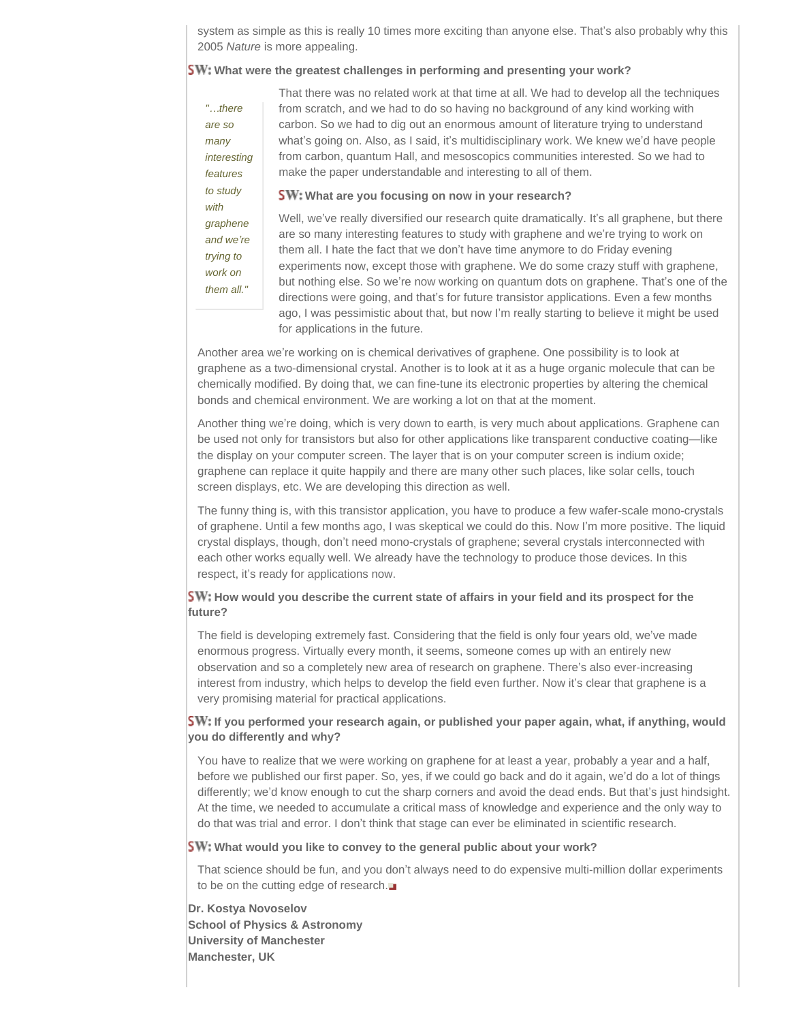system as simple as this is really 10 times more exciting than anyone else. That's also probably why this 2005 *Nature* is more appealing.

### **SW:** What were the greatest challenges in performing and presenting your work?

*"…there are so many* 

*features to study with graphene and we're trying to work on them all."*

*interesting*  That there was no related work at that time at all. We had to develop all the techniques from scratch, and we had to do so having no background of any kind working with carbon. So we had to dig out an enormous amount of literature trying to understand what's going on. Also, as I said, it's multidisciplinary work. We knew we'd have people from carbon, quantum Hall, and mesoscopics communities interested. So we had to make the paper understandable and interesting to all of them.

**SW:** What are you focusing on now in your research?

Well, we've really diversified our research quite dramatically. It's all graphene, but there are so many interesting features to study with graphene and we're trying to work on them all. I hate the fact that we don't have time anymore to do Friday evening experiments now, except those with graphene. We do some crazy stuff with graphene, but nothing else. So we're now working on quantum dots on graphene. That's one of the directions were going, and that's for future transistor applications. Even a few months ago, I was pessimistic about that, but now I'm really starting to believe it might be used for applications in the future.

Another area we're working on is chemical derivatives of graphene. One possibility is to look at graphene as a two-dimensional crystal. Another is to look at it as a huge organic molecule that can be chemically modified. By doing that, we can fine-tune its electronic properties by altering the chemical bonds and chemical environment. We are working a lot on that at the moment.

Another thing we're doing, which is very down to earth, is very much about applications. Graphene can be used not only for transistors but also for other applications like transparent conductive coating—like the display on your computer screen. The layer that is on your computer screen is indium oxide; graphene can replace it quite happily and there are many other such places, like solar cells, touch screen displays, etc. We are developing this direction as well.

The funny thing is, with this transistor application, you have to produce a few wafer-scale mono-crystals of graphene. Until a few months ago, I was skeptical we could do this. Now I'm more positive. The liquid crystal displays, though, don't need mono-crystals of graphene; several crystals interconnected with each other works equally well. We already have the technology to produce those devices. In this respect, it's ready for applications now.

## **SW:** How would you describe the current state of affairs in your field and its prospect for the **future?**

The field is developing extremely fast. Considering that the field is only four years old, we've made enormous progress. Virtually every month, it seems, someone comes up with an entirely new observation and so a completely new area of research on graphene. There's also ever-increasing interest from industry, which helps to develop the field even further. Now it's clear that graphene is a very promising material for practical applications.

### **SW:** If you performed your research again, or published your paper again, what, if anything, would **you do differently and why?**

You have to realize that we were working on graphene for at least a year, probably a year and a half, before we published our first paper. So, yes, if we could go back and do it again, we'd do a lot of things differently; we'd know enough to cut the sharp corners and avoid the dead ends. But that's just hindsight. At the time, we needed to accumulate a critical mass of knowledge and experience and the only way to do that was trial and error. I don't think that stage can ever be eliminated in scientific research.

### **SW:** What would you like to convey to the general public about your work?

That science should be fun, and you don't always need to do expensive multi-million dollar experiments to be on the cutting edge of research.

**Dr. Kostya Novoselov School of Physics & Astronomy University of Manchester Manchester, UK**